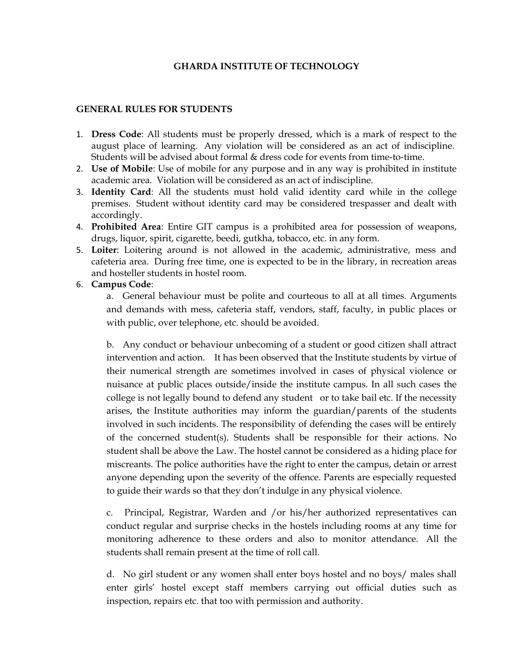## **GHARDA INSTITUTE OF TECHNOLOGY**

### **GENERAL RULES FOR STUDENTS**

- 1. **Dress Code**: All students must be properly dressed, which is a mark of respect to the august place of learning. Any violation will be considered as an act of indiscipline. Students will be advised about formal & dress code for events from time-to-time.
- 2. **Use of Mobile**: Use of mobile for any purpose and in any way is prohibited in institute academic area. Violation will be considered as an act of indiscipline.
- 3. **Identity Card**: All the students must hold valid identity card while in the college premises. Student without identity card may be considered trespasser and dealt with accordingly.
- 4. **Prohibited Area**: Entire GIT campus is a prohibited area for possession of weapons, drugs, liquor, spirit, cigarette, beedi, gutkha, tobacco, etc. in any form.
- 5. **Loiter**: Loitering around is not allowed in the academic, administrative, mess and cafeteria area. During free time, one is expected to be in the library, in recreation areas and hosteller students in hostel room.

### 6. **Campus Code**:

a. General behaviour must be polite and courteous to all at all times. Arguments and demands with mess, cafeteria staff, vendors, staff, faculty, in public places or with public, over telephone, etc. should be avoided.

b. Any conduct or behaviour unbecoming of a student or good citizen shall attract intervention and action. It has been observed that the Institute students by virtue of their numerical strength are sometimes involved in cases of physical violence or nuisance at public places outside/inside the institute campus. In all such cases the college is not legally bound to defend any student or to take bail etc. If the necessity arises, the Institute authorities may inform the guardian/parents of the students involved in such incidents. The responsibility of defending the cases will be entirely of the concerned student(s). Students shall be responsible for their actions. No student shall be above the Law. The hostel cannot be considered as a hiding place for miscreants. The police authorities have the right to enter the campus, detain or arrest anyone depending upon the severity of the offence. Parents are especially requested to guide their wards so that they don't indulge in any physical violence.

c. Principal, Registrar, Warden and /or his/her authorized representatives can conduct regular and surprise checks in the hostels including rooms at any time for monitoring adherence to these orders and also to monitor attendance. All the students shall remain present at the time of roll call.

d. No girl student or any women shall enter boys hostel and no boys/ males shall enter girls' hostel except staff members carrying out official duties such as inspection, repairs etc. that too with permission and authority.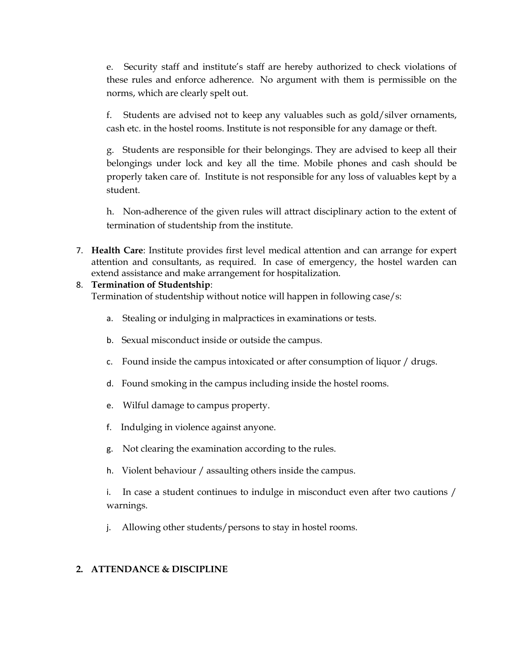e. Security staff and institute's staff are hereby authorized to check violations of these rules and enforce adherence. No argument with them is permissible on the norms, which are clearly spelt out.

f. Students are advised not to keep any valuables such as gold/silver ornaments, cash etc. in the hostel rooms. Institute is not responsible for any damage or theft.

g. Students are responsible for their belongings. They are advised to keep all their belongings under lock and key all the time. Mobile phones and cash should be properly taken care of. Institute is not responsible for any loss of valuables kept by a student.

h. Non-adherence of the given rules will attract disciplinary action to the extent of termination of studentship from the institute.

7. **Health Care**: Institute provides first level medical attention and can arrange for expert attention and consultants, as required. In case of emergency, the hostel warden can extend assistance and make arrangement for hospitalization.

## 8. **Termination of Studentship**:

Termination of studentship without notice will happen in following case/s:

- a. Stealing or indulging in malpractices in examinations or tests.
- b. Sexual misconduct inside or outside the campus.
- c. Found inside the campus intoxicated or after consumption of liquor / drugs.
- d. Found smoking in the campus including inside the hostel rooms.
- e. Wilful damage to campus property.
- f. Indulging in violence against anyone.
- g. Not clearing the examination according to the rules.
- h. Violent behaviour / assaulting others inside the campus.
- i. In case a student continues to indulge in misconduct even after two cautions / warnings.
- j. Allowing other students/persons to stay in hostel rooms.

## **2. ATTENDANCE & DISCIPLINE**